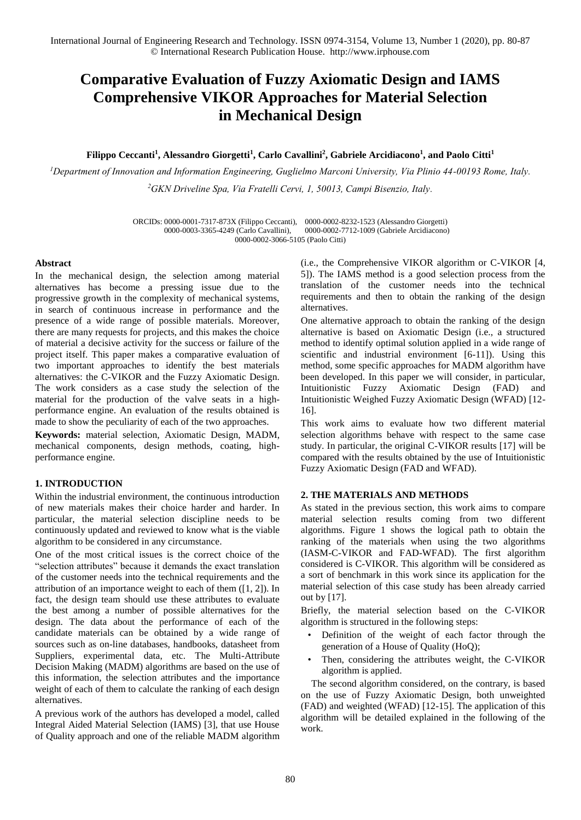# **Comparative Evaluation of Fuzzy Axiomatic Design and IAMS Comprehensive VIKOR Approaches for Material Selection in Mechanical Design**

## **Filippo Ceccanti<sup>1</sup> , Alessandro Giorgetti<sup>1</sup> , Carlo Cavallini<sup>2</sup> , Gabriele Arcidiacono<sup>1</sup> , and Paolo Citti<sup>1</sup>**

*<sup>1</sup>Department of Innovation and Information Engineering, Guglielmo Marconi University, Via Plinio 44-00193 Rome, Italy. <sup>2</sup>GKN Driveline Spa, Via Fratelli Cervi, 1, 50013, Campi Bisenzio, Italy.* 

> ORCIDs: 0000-0001-7317-873X (Filippo Ceccanti), 0000-0002-8232-1523 (Alessandro Giorgetti)  $0000-0002-7712-1009$  (Gabriele Arcidiacono) 0000-0002-3066-5105 (Paolo Citti)

## **Abstract**

In the mechanical design, the selection among material alternatives has become a pressing issue due to the progressive growth in the complexity of mechanical systems, in search of continuous increase in performance and the presence of a wide range of possible materials. Moreover, there are many requests for projects, and this makes the choice of material a decisive activity for the success or failure of the project itself. This paper makes a comparative evaluation of two important approaches to identify the best materials alternatives: the C-VIKOR and the Fuzzy Axiomatic Design. The work considers as a case study the selection of the material for the production of the valve seats in a highperformance engine. An evaluation of the results obtained is made to show the peculiarity of each of the two approaches.

**Keywords:** material selection, Axiomatic Design, MADM, mechanical components, design methods, coating, highperformance engine.

## **1. INTRODUCTION**

Within the industrial environment, the continuous introduction of new materials makes their choice harder and harder. In particular, the material selection discipline needs to be continuously updated and reviewed to know what is the viable algorithm to be considered in any circumstance.

One of the most critical issues is the correct choice of the "selection attributes" because it demands the exact translation of the customer needs into the technical requirements and the attribution of an importance weight to each of them ([1, 2]). In fact, the design team should use these attributes to evaluate the best among a number of possible alternatives for the design. The data about the performance of each of the candidate materials can be obtained by a wide range of sources such as on-line databases, handbooks, datasheet from Suppliers, experimental data, etc. The Multi-Attribute Decision Making (MADM) algorithms are based on the use of this information, the selection attributes and the importance weight of each of them to calculate the ranking of each design alternatives.

A previous work of the authors has developed a model, called Integral Aided Material Selection (IAMS) [3], that use House of Quality approach and one of the reliable MADM algorithm (i.e., the Comprehensive VIKOR algorithm or C-VIKOR [4, 5]). The IAMS method is a good selection process from the translation of the customer needs into the technical requirements and then to obtain the ranking of the design alternatives.

One alternative approach to obtain the ranking of the design alternative is based on Axiomatic Design (i.e., a structured method to identify optimal solution applied in a wide range of scientific and industrial environment [6-11]). Using this method, some specific approaches for MADM algorithm have been developed. In this paper we will consider, in particular, Intuitionistic Fuzzy Axiomatic Design (FAD) and Intuitionistic Weighed Fuzzy Axiomatic Design (WFAD) [12- 16].

This work aims to evaluate how two different material selection algorithms behave with respect to the same case study. In particular, the original C-VIKOR results [17] will be compared with the results obtained by the use of Intuitionistic Fuzzy Axiomatic Design (FAD and WFAD).

## **2. THE MATERIALS AND METHODS**

As stated in the previous section, this work aims to compare material selection results coming from two different algorithms. Figure 1 shows the logical path to obtain the ranking of the materials when using the two algorithms (IASM-C-VIKOR and FAD-WFAD). The first algorithm considered is C-VIKOR. This algorithm will be considered as a sort of benchmark in this work since its application for the material selection of this case study has been already carried out by [17].

Briefly, the material selection based on the C-VIKOR algorithm is structured in the following steps:

- Definition of the weight of each factor through the generation of a House of Quality (HoQ);
- Then, considering the attributes weight, the C-VIKOR algorithm is applied.

The second algorithm considered, on the contrary, is based on the use of Fuzzy Axiomatic Design, both unweighted (FAD) and weighted (WFAD) [12-15]. The application of this algorithm will be detailed explained in the following of the work.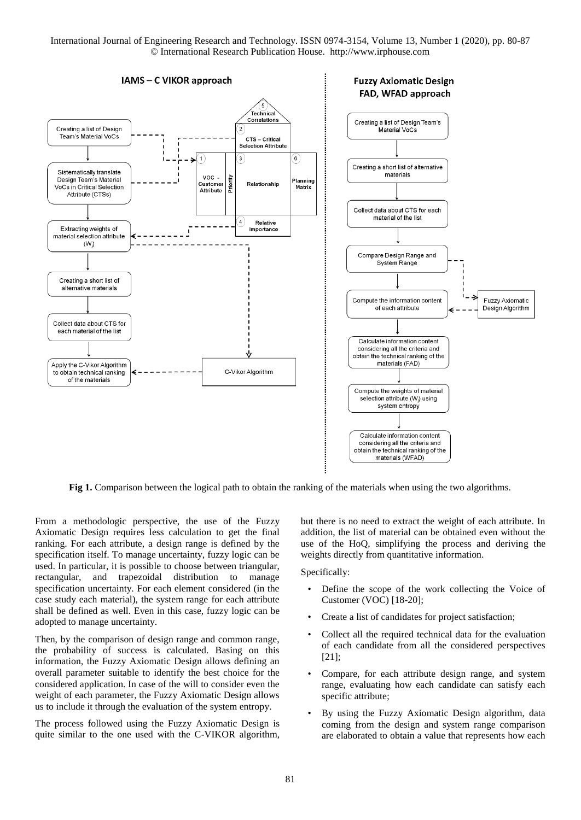

**Fig 1.** Comparison between the logical path to obtain the ranking of the materials when using the two algorithms.

From a methodologic perspective, the use of the Fuzzy Axiomatic Design requires less calculation to get the final ranking. For each attribute, a design range is defined by the specification itself. To manage uncertainty, fuzzy logic can be used. In particular, it is possible to choose between triangular, rectangular, and trapezoidal distribution to manage specification uncertainty. For each element considered (in the case study each material), the system range for each attribute shall be defined as well. Even in this case, fuzzy logic can be adopted to manage uncertainty.

Then, by the comparison of design range and common range, the probability of success is calculated. Basing on this information, the Fuzzy Axiomatic Design allows defining an overall parameter suitable to identify the best choice for the considered application. In case of the will to consider even the weight of each parameter, the Fuzzy Axiomatic Design allows us to include it through the evaluation of the system entropy.

The process followed using the Fuzzy Axiomatic Design is quite similar to the one used with the C-VIKOR algorithm, but there is no need to extract the weight of each attribute. In addition, the list of material can be obtained even without the use of the HoQ, simplifying the process and deriving the weights directly from quantitative information.

Specifically:

- Define the scope of the work collecting the Voice of Customer (VOC) [18-20];
- Create a list of candidates for project satisfaction;
- Collect all the required technical data for the evaluation of each candidate from all the considered perspectives [21];
- Compare, for each attribute design range, and system range, evaluating how each candidate can satisfy each specific attribute;
- By using the Fuzzy Axiomatic Design algorithm, data coming from the design and system range comparison are elaborated to obtain a value that represents how each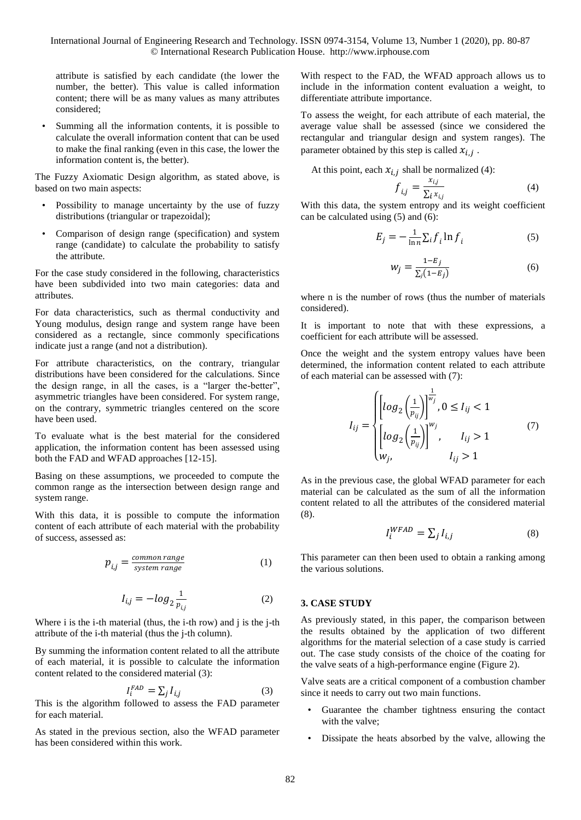attribute is satisfied by each candidate (the lower the number, the better). This value is called information content; there will be as many values as many attributes considered;

Summing all the information contents, it is possible to calculate the overall information content that can be used to make the final ranking (even in this case, the lower the information content is, the better).

The Fuzzy Axiomatic Design algorithm, as stated above, is based on two main aspects:

- Possibility to manage uncertainty by the use of fuzzy distributions (triangular or trapezoidal);
- Comparison of design range (specification) and system range (candidate) to calculate the probability to satisfy the attribute.

For the case study considered in the following, characteristics have been subdivided into two main categories: data and attributes.

For data characteristics, such as thermal conductivity and Young modulus, design range and system range have been considered as a rectangle, since commonly specifications indicate just a range (and not a distribution).

For attribute characteristics, on the contrary, triangular distributions have been considered for the calculations. Since the design range, in all the cases, is a "larger the-better", asymmetric triangles have been considered. For system range, on the contrary, symmetric triangles centered on the score have been used.

To evaluate what is the best material for the considered application, the information content has been assessed using both the FAD and WFAD approaches [12-15].

Basing on these assumptions, we proceeded to compute the common range as the intersection between design range and system range.

With this data, it is possible to compute the information content of each attribute of each material with the probability of success, assessed as:

$$
p_{i,j} = \frac{common\ range}{system\ range} \tag{1}
$$

$$
I_{i,j} = -\log_2 \frac{1}{p_{i,j}}\tag{2}
$$

Where i is the i-th material (thus, the i-th row) and j is the j-th attribute of the i-th material (thus the j-th column).

By summing the information content related to all the attribute of each material, it is possible to calculate the information content related to the considered material (3):

$$
I_i^{FAD} = \sum_j I_{i,j} \tag{3}
$$

This is the algorithm followed to assess the FAD parameter for each material.

As stated in the previous section, also the WFAD parameter has been considered within this work.

With respect to the FAD, the WFAD approach allows us to include in the information content evaluation a weight, to differentiate attribute importance.

To assess the weight, for each attribute of each material, the average value shall be assessed (since we considered the rectangular and triangular design and system ranges). The parameter obtained by this step is called  $x_{i,j}$ .

At this point, each  $x_{i,j}$  shall be normalized (4):

$$
f_{i,j} = \frac{x_{i,j}}{\sum_i x_{i,j}}\tag{4}
$$

With this data, the system entropy and its weight coefficient can be calculated using (5) and (6):

$$
E_j = -\frac{1}{\ln n} \sum_i f_i \ln f_i \tag{5}
$$

$$
w_j = \frac{1 - E_j}{\sum_j (1 - E_j)}\tag{6}
$$

where n is the number of rows (thus the number of materials considered).

It is important to note that with these expressions, a coefficient for each attribute will be assessed.

Once the weight and the system entropy values have been determined, the information content related to each attribute of each material can be assessed with (7):

$$
I_{ij} = \begin{cases} \left[ \log_2 \left( \frac{1}{p_{ij}} \right) \right]^{\frac{1}{w_j}}, 0 \le I_{ij} < 1\\ \left[ \log_2 \left( \frac{1}{p_{ij}} \right) \right]^{w_j}, \qquad I_{ij} > 1\\ w_j, \qquad I_{ij} > 1 \end{cases} \tag{7}
$$

As in the previous case, the global WFAD parameter for each material can be calculated as the sum of all the information content related to all the attributes of the considered material (8).

$$
I_i^{WFAD} = \sum_j I_{i,j} \tag{8}
$$

This parameter can then been used to obtain a ranking among the various solutions.

## **3. CASE STUDY**

As previously stated, in this paper, the comparison between the results obtained by the application of two different algorithms for the material selection of a case study is carried out. The case study consists of the choice of the coating for the valve seats of a high-performance engine (Figure 2).

Valve seats are a critical component of a combustion chamber since it needs to carry out two main functions.

- Guarantee the chamber tightness ensuring the contact with the valve;
- Dissipate the heats absorbed by the valve, allowing the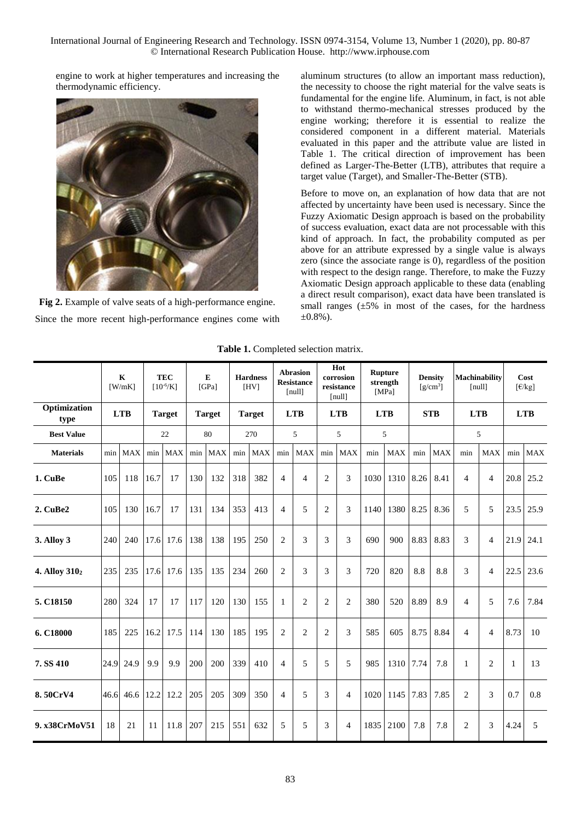engine to work at higher temperatures and increasing the thermodynamic efficiency.



**Fig 2.** Example of valve seats of a high-performance engine. Since the more recent high-performance engines come with

aluminum structures (to allow an important mass reduction), the necessity to choose the right material for the valve seats is fundamental for the engine life. Aluminum, in fact, is not able to withstand thermo-mechanical stresses produced by the engine working; therefore it is essential to realize the considered component in a different material. Materials evaluated in this paper and the attribute value are listed in Table 1. The critical direction of improvement has been defined as Larger-The-Better (LTB), attributes that require a target value (Target), and Smaller-The-Better (STB).

Before to move on, an explanation of how data that are not affected by uncertainty have been used is necessary. Since the Fuzzy Axiomatic Design approach is based on the probability of success evaluation, exact data are not processable with this kind of approach. In fact, the probability computed as per above for an attribute expressed by a single value is always zero (since the associate range is 0), regardless of the position with respect to the design range. Therefore, to make the Fuzzy Axiomatic Design approach applicable to these data (enabling a direct result comparison), exact data have been translated is small ranges  $(\pm 5\%$  in most of the cases, for the hardness  $\pm 0.8\%$ ).

|                           |     | $\mathbf K$<br>$[$ W/mK $]$ |      | <b>TEC</b><br>$[10^{-6}/K]$ |     | E<br>[GPa]    |     | <b>Hardness</b><br>[HV] |                | <b>Abrasion</b><br><b>Resistance</b><br>[null] |                | Hot<br>corrosion<br>resistance<br>[null] |            | Rupture<br>strength<br>[MPa] |      | <b>Density</b><br>$[g/cm^3]$ |                | <b>Machinability</b><br>[nul] |      | Cost<br>$\lceil \frac{\epsilon}{kg} \rceil$ |
|---------------------------|-----|-----------------------------|------|-----------------------------|-----|---------------|-----|-------------------------|----------------|------------------------------------------------|----------------|------------------------------------------|------------|------------------------------|------|------------------------------|----------------|-------------------------------|------|---------------------------------------------|
| Optimization<br>type      |     | <b>LTB</b>                  |      | <b>Target</b>               |     | <b>Target</b> |     | <b>Target</b>           |                | <b>LTB</b>                                     |                | <b>LTB</b>                               | <b>LTB</b> |                              |      | <b>STB</b>                   |                | <b>LTB</b>                    |      | <b>LTB</b>                                  |
| <b>Best Value</b>         |     |                             |      | 22                          |     | 80            |     | 270                     |                | 5                                              |                | 5                                        |            | 5                            |      |                              |                | 5                             |      |                                             |
| <b>Materials</b>          | min | <b>MAX</b>                  |      | min MAX                     |     | min MAX       |     | min MAX                 |                | min MAX                                        |                | min MAX                                  | min        | <b>MAX</b>                   | min  | <b>MAX</b>                   | min            | <b>MAX</b>                    |      | min MAX                                     |
| 1. CuBe                   | 105 | 118                         | 16.7 | 17                          | 130 | 132           | 318 | 382                     | $\overline{4}$ | $\overline{4}$                                 | $\mathbf{2}$   | 3                                        | 1030       | 1310                         | 8.26 | 8.41                         | $\overline{4}$ | 4                             |      | 20.8 25.2                                   |
| 2. CuBe2                  | 105 | 130                         | 16.7 | 17                          | 131 | 134           | 353 | 413                     | $\overline{4}$ | 5                                              | $\overline{c}$ | 3                                        | 1140       | 1380                         | 8.25 | 8.36                         | 5              | 5                             | 23.5 | 25.9                                        |
| <b>3. Alloy 3</b>         | 240 | 240                         |      | 17.6 17.6                   | 138 | 138           | 195 | 250                     | 2              | 3                                              | 3              | 3                                        | 690        | 900                          | 8.83 | 8.83                         | 3              | 4                             | 21.9 | 24.1                                        |
| 4. Alloy 310 <sub>2</sub> | 235 | 235                         |      | 17.6 17.6                   | 135 | 135           | 234 | 260                     | 2              | 3                                              | 3              | 3                                        | 720        | 820                          | 8.8  | 8.8                          | 3              | 4                             | 22.5 | 23.6                                        |
| 5. C18150                 | 280 | 324                         | 17   | 17                          | 117 | 120           | 130 | 155                     | $\mathbf{1}$   | $\overline{2}$                                 | $\overline{c}$ | 2                                        | 380        | 520                          | 8.89 | 8.9                          | $\overline{4}$ | 5                             | 7.6  | 7.84                                        |
| 6. C18000                 | 185 | 225                         |      | 16.2 17.5                   | 114 | 130           | 185 | 195                     | 2              | 2                                              | $\overline{2}$ | 3                                        | 585        | 605                          | 8.75 | 8.84                         | $\overline{4}$ | $\overline{4}$                | 8.73 | 10                                          |
| 7. SS 410                 |     | 24.9 24.9                   | 9.9  | 9.9                         | 200 | 200           | 339 | 410                     | $\overline{4}$ | 5                                              | 5              | 5                                        | 985        | 1310                         | 7.74 | 7.8                          | 1              | 2                             | -1   | 13                                          |
| 8.50CrV4                  |     | 46.6 46.6                   | 12.2 | 12.2                        | 205 | 205           | 309 | 350                     | $\overline{4}$ | 5                                              | 3              | 4                                        | 1020       | 1145                         | 7.83 | 7.85                         | 2              | 3                             | 0.7  | 0.8                                         |
| 9. x38CrMoV51             | 18  | 21                          | 11   | 11.8                        | 207 | 215           | 551 | 632                     | 5              | 5                                              | 3              | 4                                        | 1835       | 2100                         | 7.8  | 7.8                          | $\mathbf{2}$   | 3                             | 4.24 | 5                                           |

**Table 1.** Completed selection matrix.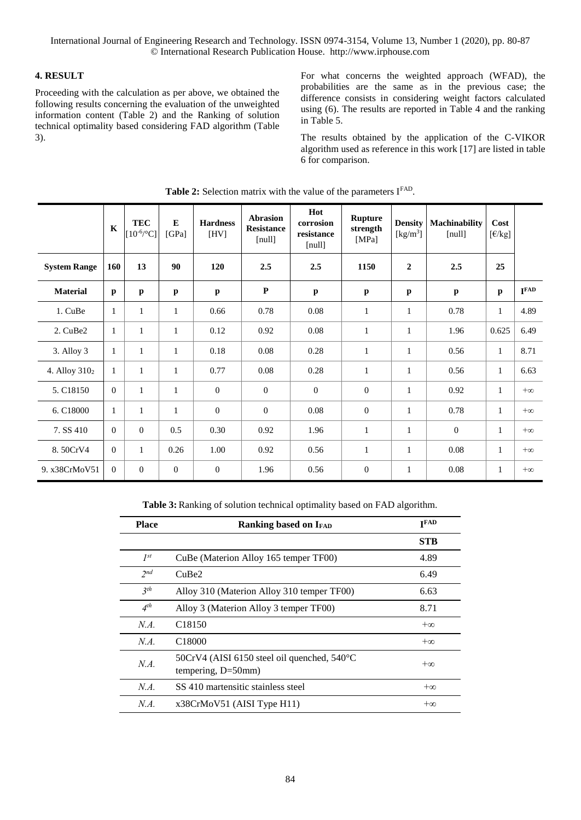# **4. RESULT**

Proceeding with the calculation as per above, we obtained the following results concerning the evaluation of the unweighted information content (Table 2) and the Ranking of solution technical optimality based considering FAD algorithm (Table 3).

For what concerns the weighted approach (WFAD), the probabilities are the same as in the previous case; the difference consists in considering weight factors calculated using (6). The results are reported in Table 4 and the ranking in Table 5.

The results obtained by the application of the C-VIKOR algorithm used as reference in this work [17] are listed in table 6 for comparison.

|                           | $\mathbf K$  | <b>TEC</b><br>$[10^{-6/°}C]$ | ${\bf E}$<br>[GPa] | <b>Hardness</b><br>[HV] | <b>Abrasion</b><br><b>Resistance</b><br>[null] | Hot<br>corrosion<br>resistance<br>[null] | <b>Rupture</b><br>strength<br>[MPa] | <b>Density</b><br>[kg/m <sup>3</sup> ] | <b>Machinability</b><br>[null] | Cost<br>$[\text{\ensuremath{\mathsf{E}}}/\text{\ensuremath{\mathsf{kg}}}]$ |                  |
|---------------------------|--------------|------------------------------|--------------------|-------------------------|------------------------------------------------|------------------------------------------|-------------------------------------|----------------------------------------|--------------------------------|----------------------------------------------------------------------------|------------------|
| <b>System Range</b>       | 160          | 13                           | 90                 | 120                     | 2.5                                            | 2.5                                      | 1150                                | $\boldsymbol{2}$                       | 2.5                            | 25                                                                         |                  |
| <b>Material</b>           | $\mathbf{p}$ | $\mathbf{p}$                 | $\mathbf{p}$       | $\mathbf{p}$            | $\mathbf P$                                    | $\mathbf{p}$                             | $\mathbf{p}$                        | $\mathbf{p}$                           | $\mathbf{p}$                   | $\mathbf{p}$                                                               | I <sub>FAD</sub> |
| 1. CuBe                   | $\mathbf{1}$ | $\mathbf{1}$                 | $\mathbf{1}$       | 0.66                    | 0.78                                           | 0.08                                     | $\mathbf{1}$                        | $\mathbf{1}$                           | 0.78                           | $\mathbf{1}$                                                               | 4.89             |
| 2. CuBe2                  | 1            | $\mathbf{1}$                 | $\mathbf{1}$       | 0.12                    | 0.92                                           | 0.08                                     | 1                                   | $\mathbf{1}$                           | 1.96                           | 0.625                                                                      | 6.49             |
| 3. Alloy 3                | $\mathbf{1}$ | $\mathbf{1}$                 | $\mathbf{1}$       | $0.18\,$                | 0.08                                           | 0.28                                     | $\mathbf{1}$                        | $\mathbf{1}$                           | 0.56                           | $\mathbf{1}$                                                               | 8.71             |
| 4. Alloy 310 <sub>2</sub> | $\mathbf{1}$ | $\mathbf{1}$                 | $\mathbf{1}$       | 0.77                    | 0.08                                           | 0.28                                     | 1                                   | $\mathbf{1}$                           | 0.56                           | 1                                                                          | 6.63             |
| 5. C18150                 | $\Omega$     | $\mathbf{1}$                 | $\mathbf{1}$       | $\theta$                | $\overline{0}$                                 | $\overline{0}$                           | $\overline{0}$                      | $\mathbf{1}$                           | 0.92                           | 1                                                                          | $+\infty$        |
| 6. C18000                 | $\mathbf{1}$ | $\mathbf{1}$                 | $\mathbf{1}$       | $\boldsymbol{0}$        | $\mathbf{0}$                                   | 0.08                                     | $\boldsymbol{0}$                    | $\mathbf{1}$                           | 0.78                           | $\mathbf{1}$                                                               | $+\infty$        |
| 7. SS 410                 | $\Omega$     | $\overline{0}$               | 0.5                | 0.30                    | 0.92                                           | 1.96                                     | 1                                   | 1                                      | $\theta$                       | 1                                                                          | $+\infty$        |
| 8.50CrV4                  | $\Omega$     | $\mathbf{1}$                 | 0.26               | 1.00                    | 0.92                                           | 0.56                                     | $\mathbf{1}$                        | $\mathbf{1}$                           | 0.08                           | 1                                                                          | $+\infty$        |
| 9. x38CrMoV51             | $\Omega$     | $\boldsymbol{0}$             | $\mathbf{0}$       | $\boldsymbol{0}$        | 1.96                                           | 0.56                                     | $\boldsymbol{0}$                    | 1                                      | 0.08                           | $\mathbf{1}$                                                               | $+\infty$        |

Table 2: Selection matrix with the value of the parameters IFAD.

**Table 3:** Ranking of solution technical optimality based on FAD algorithm.

| <b>Place</b>    | <b>Ranking based on IFAD</b>                                      | <b>TFAD</b> |
|-----------------|-------------------------------------------------------------------|-------------|
|                 |                                                                   | <b>STB</b>  |
| $I^{st}$        | CuBe (Materion Alloy 165 temper TF00)                             | 4.89        |
| 2 <sub>nd</sub> | CuBe2                                                             | 6.49        |
| 3 <sup>th</sup> | Alloy 310 (Materion Alloy 310 temper TF00)                        | 6.63        |
| $4^{th}$        | Alloy 3 (Materion Alloy 3 temper TF00)                            | 8.71        |
| N.A.            | C <sub>18150</sub>                                                | $+\infty$   |
| N.A.            | C <sub>18000</sub>                                                | $+\infty$   |
| N.A.            | 50CrV4 (AISI 6150 steel oil quenched, 540°C<br>tempering, D=50mm) | $+\infty$   |
| N.A.            | SS 410 martensitic stainless steel                                | $+\infty$   |
| N.A.            | x38CrMoV51 (AISI Type H11)                                        | $+\infty$   |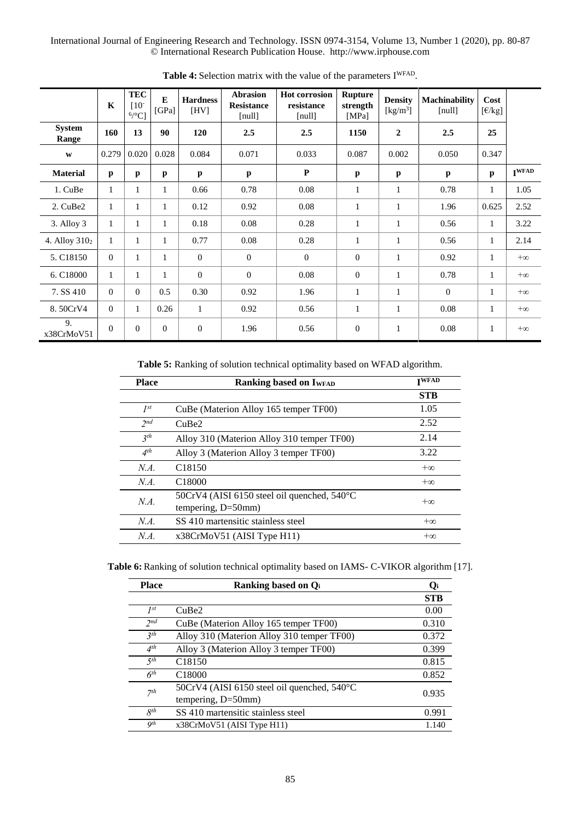|                           | $\mathbf K$  | <b>TEC</b><br>$[10^{-}]$<br>$6$ /°C] | E<br>[GPa]   | <b>Hardness</b><br>[HV] | <b>Abrasion</b><br><b>Resistance</b><br>[null] | <b>Hot corrosion</b><br>resistance<br>[null] | <b>Rupture</b><br>strength<br>[MPa] | <b>Density</b><br>$\left[\text{kg/m}^3\right]$ | <b>Machinability</b><br>[null] | Cost<br>$[\text{\ensuremath{\mathsf{E}}}/\text{\ensuremath{\mathsf{kg}}}]$ |                   |
|---------------------------|--------------|--------------------------------------|--------------|-------------------------|------------------------------------------------|----------------------------------------------|-------------------------------------|------------------------------------------------|--------------------------------|----------------------------------------------------------------------------|-------------------|
| <b>System</b><br>Range    | 160          | 13                                   | 90           | 120                     | 2.5                                            | 2.5                                          | 1150                                | $\overline{2}$                                 | 2.5                            | 25                                                                         |                   |
| W                         | 0.279        | 0.020                                | 0.028        | 0.084                   | 0.071                                          | 0.033                                        | 0.087                               | 0.002                                          | 0.050                          | 0.347                                                                      |                   |
| <b>Material</b>           | $\mathbf{p}$ | p                                    | p            | $\mathbf{p}$            | $\mathbf{p}$                                   | P                                            | p                                   | $\mathbf{p}$                                   | p                              | p                                                                          | I <sup>WFAD</sup> |
| 1. CuBe                   | 1            | 1                                    | 1            | 0.66                    | 0.78                                           | 0.08                                         | 1                                   | $\mathbf{1}$                                   | 0.78                           | $\mathbf{1}$                                                               | 1.05              |
| 2. CuBe2                  | $\mathbf{1}$ | 1                                    | $\mathbf{1}$ | 0.12                    | 0.92                                           | 0.08                                         | 1                                   | 1                                              | 1.96                           | 0.625                                                                      | 2.52              |
| $3.$ Alloy $3$            | 1            | $\mathbf{1}$                         | $\mathbf{1}$ | 0.18                    | 0.08                                           | 0.28                                         | 1                                   | $\mathbf{1}$                                   | 0.56                           | $\mathbf{1}$                                                               | 3.22              |
| 4. Alloy 310 <sub>2</sub> | 1            | $\mathbf{1}$                         | $\mathbf{1}$ | 0.77                    | 0.08                                           | 0.28                                         | 1                                   | $\mathbf{1}$                                   | 0.56                           | $\mathbf{1}$                                                               | 2.14              |
| 5. C18150                 | $\theta$     | 1                                    | 1            | $\theta$                | $\Omega$                                       | $\Omega$                                     | $\overline{0}$                      | $\mathbf{1}$                                   | 0.92                           | $\mathbf{1}$                                                               | $+\infty$         |
| 6. C18000                 | $\mathbf{1}$ | $\mathbf{1}$                         | 1            | $\overline{0}$          | $\mathbf{0}$                                   | 0.08                                         | $\overline{0}$                      | 1                                              | 0.78                           | $\mathbf{1}$                                                               | $+\infty$         |
| 7. SS 410                 | $\theta$     | $\Omega$                             | 0.5          | 0.30                    | 0.92                                           | 1.96                                         | 1                                   | $\mathbf{1}$                                   | $\Omega$                       | $\mathbf{1}$                                                               | $+\infty$         |
| 8.50CrV4                  | $\theta$     | 1                                    | 0.26         | $\mathbf{1}$            | 0.92                                           | 0.56                                         | 1                                   | 1                                              | 0.08                           | $\mathbf{1}$                                                               | $+\infty$         |
| 9.<br>x38CrMoV51          | $\Omega$     | $\Omega$                             | $\Omega$     | $\mathbf{0}$            | 1.96                                           | 0.56                                         | $\theta$                            | $\mathbf{1}$                                   | 0.08                           | $\mathbf{1}$                                                               | $+\infty$         |

Table 4: Selection matrix with the value of the parameters I<sup>WFAD</sup>.

**Table 5:** Ranking of solution technical optimality based on WFAD algorithm.

| <b>Place</b>    | <b>Ranking based on IWFAD</b>                                                  | <b>TWFAD</b> |
|-----------------|--------------------------------------------------------------------------------|--------------|
|                 |                                                                                | <b>STB</b>   |
| $I^{st}$        | CuBe (Materion Alloy 165 temper TF00)                                          | 1.05         |
| 2nd             | CuBe <sub>2</sub>                                                              | 2.52         |
| 3 <sup>th</sup> | Alloy 310 (Materion Alloy 310 temper TF00)                                     | 2.14         |
| $4^{th}$        | Alloy 3 (Materion Alloy 3 temper TF00)                                         | 3.22         |
| N.A.            | C <sub>18150</sub>                                                             | $+\infty$    |
| N.A.            | C <sub>18000</sub>                                                             | $+\infty$    |
| $NA$ .          | 50CrV4 (AISI 6150 steel oil quenched, $540^{\circ}$ C<br>tempering, $D=50$ mm) | $+\infty$    |
| N.A.            | SS 410 martensitic stainless steel                                             | $+\infty$    |
| $NA$ .          | x38CrMoV51 (AISI Type H11)                                                     | $+\infty$    |

**Table 6:** Ranking of solution technical optimality based on IAMS- C-VIKOR algorithm [17].

| <b>Place</b>    | <b>Ranking based on Qi</b>                  | O,         |
|-----------------|---------------------------------------------|------------|
|                 |                                             | <b>STB</b> |
| $I^{st}$        | CuBe <sub>2</sub>                           | 0.00       |
| 2 <sub>nd</sub> | CuBe (Materion Alloy 165 temper TF00)       | 0.310      |
| 3 <sup>th</sup> | Alloy 310 (Materion Alloy 310 temper TF00)  | 0.372      |
| 4 <sup>th</sup> | Alloy 3 (Materion Alloy 3 temper TF00)      | 0.399      |
| 5 <sup>th</sup> | C <sub>18150</sub>                          | 0.815      |
| 6 <sup>th</sup> | C <sub>18000</sub>                          | 0.852      |
| 7 <sup>th</sup> | 50CrV4 (AISI 6150 steel oil quenched, 540°C | 0.935      |
|                 | tempering, $D=50$ mm)                       |            |
| $R^{th}$        | SS 410 martensitic stainless steel          | 0.991      |
| Qth             | x38CrMoV51 (AISI Type H11)                  | 1.140      |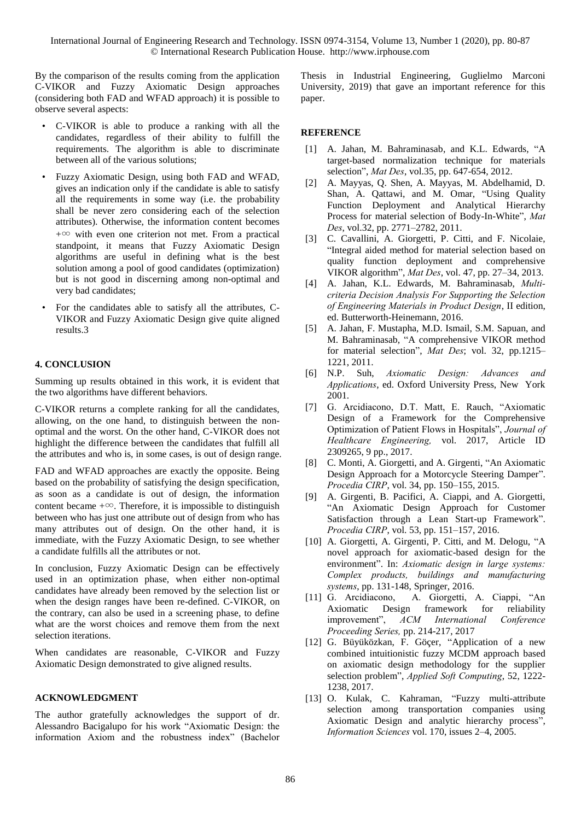By the comparison of the results coming from the application C-VIKOR and Fuzzy Axiomatic Design approaches (considering both FAD and WFAD approach) it is possible to observe several aspects:

- C-VIKOR is able to produce a ranking with all the candidates, regardless of their ability to fulfill the requirements. The algorithm is able to discriminate between all of the various solutions;
- Fuzzy Axiomatic Design, using both FAD and WFAD, gives an indication only if the candidate is able to satisfy all the requirements in some way (i.e. the probability shall be never zero considering each of the selection attributes). Otherwise, the information content becomes  $+\infty$  with even one criterion not met. From a practical standpoint, it means that Fuzzy Axiomatic Design algorithms are useful in defining what is the best solution among a pool of good candidates (optimization) but is not good in discerning among non-optimal and very bad candidates;
- For the candidates able to satisfy all the attributes, C-VIKOR and Fuzzy Axiomatic Design give quite aligned results.3

### **4. CONCLUSION**

Summing up results obtained in this work, it is evident that the two algorithms have different behaviors.

C-VIKOR returns a complete ranking for all the candidates, allowing, on the one hand, to distinguish between the nonoptimal and the worst. On the other hand, C-VIKOR does not highlight the difference between the candidates that fulfill all the attributes and who is, in some cases, is out of design range.

FAD and WFAD approaches are exactly the opposite. Being based on the probability of satisfying the design specification, as soon as a candidate is out of design, the information content became  $+\infty$ . Therefore, it is impossible to distinguish between who has just one attribute out of design from who has many attributes out of design. On the other hand, it is immediate, with the Fuzzy Axiomatic Design, to see whether a candidate fulfills all the attributes or not.

In conclusion, Fuzzy Axiomatic Design can be effectively used in an optimization phase, when either non-optimal candidates have already been removed by the selection list or when the design ranges have been re-defined. C-VIKOR, on the contrary, can also be used in a screening phase, to define what are the worst choices and remove them from the next selection iterations.

When candidates are reasonable, C-VIKOR and Fuzzy Axiomatic Design demonstrated to give aligned results.

## **ACKNOWLEDGMENT**

The author gratefully acknowledges the support of dr. Alessandro Bacigalupo for his work "Axiomatic Design: the information Axiom and the robustness index" (Bachelor Thesis in Industrial Engineering, Guglielmo Marconi University, 2019) that gave an important reference for this paper.

### **REFERENCE**

- [1] A. Jahan, M. Bahraminasab, and K.L. Edwards, "A target-based normalization technique for materials selection", *Mat Des*, vol.35, pp. 647-654, 2012.
- [2] A. Mayyas, Q. Shen, A. Mayyas, M. Abdelhamid, D. Shan, A. Qattawi, and M. Omar, "Using Quality Function Deployment and Analytical Hierarchy Process for material selection of Body-In-White", *Mat Des*, vol.32, pp. 2771–2782, 2011.
- [3] C. Cavallini, A. Giorgetti, P. Citti, and F. Nicolaie, "Integral aided method for material selection based on quality function deployment and comprehensive VIKOR algorithm", *Mat Des*, vol. 47, pp. 27–34, 2013.
- [4] A. Jahan, K.L. Edwards, M. Bahraminasab, *Multicriteria Decision Analysis For Supporting the Selection of Engineering Materials in Product Design*, II edition, ed. Butterworth-Heinemann, 2016.
- [5] A. Jahan, F. Mustapha, M.D. Ismail, S.M. Sapuan, and M. Bahraminasab, "A comprehensive VIKOR method for material selection", *Mat Des*; vol. 32, pp.1215– 1221, 2011.
- [6] N.P. Suh, *Axiomatic Design: Advances and Applications*, ed. Oxford University Press, New York 2001.
- [7] G. Arcidiacono, D.T. Matt, E. Rauch, "Axiomatic Design of a Framework for the Comprehensive Optimization of Patient Flows in Hospitals", *Journal of Healthcare Engineering,* vol. 2017, Article ID 2309265, 9 pp., 2017.
- [8] C. Monti, A. Giorgetti, and A. Girgenti, "An Axiomatic Design Approach for a Motorcycle Steering Damper". *Procedia CIRP*, vol. 34, pp. 150–155, 2015.
- [9] A. Girgenti, B. Pacifici, A. Ciappi, and A. Giorgetti, "An Axiomatic Design Approach for Customer Satisfaction through a Lean Start-up Framework". *Procedia CIRP*, vol. 53, pp. 151–157, 2016.
- [10] A. Giorgetti, A. Girgenti, P. Citti, and M. Delogu, "A novel approach for axiomatic-based design for the environment". In: *Axiomatic design in large systems: Complex products, buildings and manufacturing systems*, pp. 131-148, Springer, 2016.
- [11] G. Arcidiacono, A. Giorgetti, A. Ciappi, "An Axiomatic Design framework for reliability improvement", *ACM International Conference Proceeding Series,* pp. 214-217, 2017
- [12] G. Büyüközkan, F. Göçer, "Application of a new combined intuitionistic fuzzy MCDM approach based on axiomatic design methodology for the supplier selection problem", *Applied Soft Computing*, 52, 1222- 1238, 2017.
- [13] O. Kulak, C. Kahraman, "Fuzzy multi-attribute selection among transportation companies using Axiomatic Design and analytic hierarchy process", *Information Sciences* vol. 170, issues 2–4, 2005.